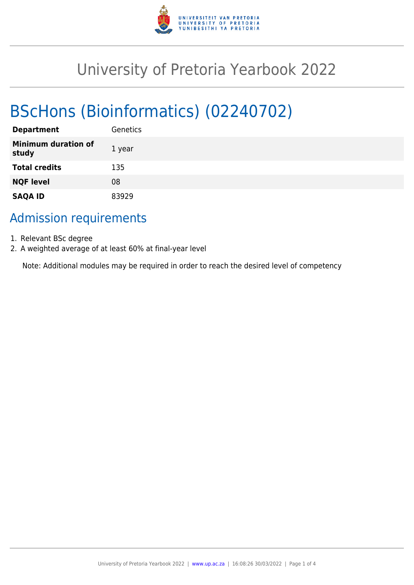

# University of Pretoria Yearbook 2022

# BScHons (Bioinformatics) (02240702)

| <b>Department</b>                   | Genetics |
|-------------------------------------|----------|
| <b>Minimum duration of</b><br>study | 1 year   |
| <b>Total credits</b>                | 135      |
| <b>NQF level</b>                    | 08       |
| <b>SAQA ID</b>                      | 83929    |

# Admission requirements

- 1. Relevant BSc degree
- 2. A weighted average of at least 60% at final-year level

Note: Additional modules may be required in order to reach the desired level of competency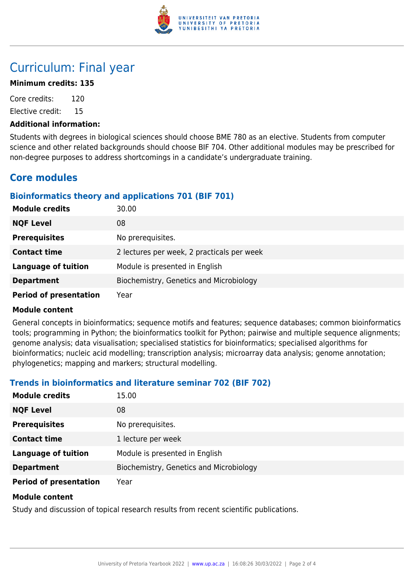

# Curriculum: Final year

# **Minimum credits: 135**

Core credits: 120 Elective credit: 15

#### **Additional information:**

Students with degrees in biological sciences should choose BME 780 as an elective. Students from computer science and other related backgrounds should choose BIF 704. Other additional modules may be prescribed for non-degree purposes to address shortcomings in a candidate's undergraduate training.

# **Core modules**

# **Bioinformatics theory and applications 701 (BIF 701)**

| <b>Module credits</b>         | 30.00                                      |
|-------------------------------|--------------------------------------------|
| <b>NQF Level</b>              | 08                                         |
| <b>Prerequisites</b>          | No prerequisites.                          |
| <b>Contact time</b>           | 2 lectures per week, 2 practicals per week |
| <b>Language of tuition</b>    | Module is presented in English             |
| <b>Department</b>             | Biochemistry, Genetics and Microbiology    |
| <b>Period of presentation</b> | Year                                       |

#### **Module content**

General concepts in bioinformatics; sequence motifs and features; sequence databases; common bioinformatics tools; programming in Python; the bioinformatics toolkit for Python; pairwise and multiple sequence alignments; genome analysis; data visualisation; specialised statistics for bioinformatics; specialised algorithms for bioinformatics; nucleic acid modelling; transcription analysis; microarray data analysis; genome annotation; phylogenetics; mapping and markers; structural modelling.

# **Trends in bioinformatics and literature seminar 702 (BIF 702)**

| <b>Module credits</b>         | 15.00                                   |
|-------------------------------|-----------------------------------------|
| <b>NQF Level</b>              | 08                                      |
| <b>Prerequisites</b>          | No prerequisites.                       |
| <b>Contact time</b>           | 1 lecture per week                      |
| <b>Language of tuition</b>    | Module is presented in English          |
| <b>Department</b>             | Biochemistry, Genetics and Microbiology |
| <b>Period of presentation</b> | Year                                    |

#### **Module content**

Study and discussion of topical research results from recent scientific publications.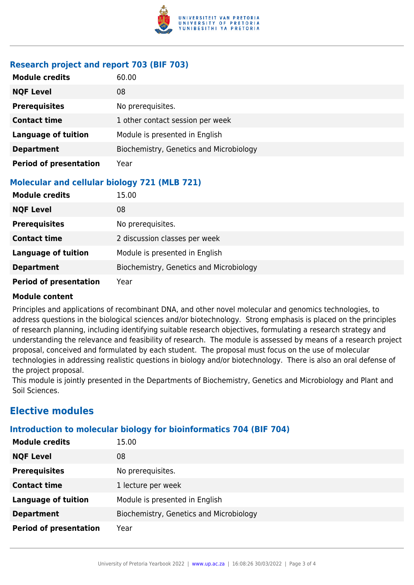

# **Research project and report 703 (BIF 703)**

| <b>Module credits</b>         | 60.00                                   |
|-------------------------------|-----------------------------------------|
| <b>NQF Level</b>              | 08                                      |
| <b>Prerequisites</b>          | No prerequisites.                       |
| <b>Contact time</b>           | 1 other contact session per week        |
| <b>Language of tuition</b>    | Module is presented in English          |
| <b>Department</b>             | Biochemistry, Genetics and Microbiology |
| <b>Period of presentation</b> | Year                                    |

# **Molecular and cellular biology 721 (MLB 721)**

| <b>Module credits</b>         | 15.00                                   |
|-------------------------------|-----------------------------------------|
| <b>NQF Level</b>              | 08                                      |
| <b>Prerequisites</b>          | No prerequisites.                       |
| <b>Contact time</b>           | 2 discussion classes per week           |
| <b>Language of tuition</b>    | Module is presented in English          |
| <b>Department</b>             | Biochemistry, Genetics and Microbiology |
| <b>Period of presentation</b> | Year                                    |

#### **Module content**

Principles and applications of recombinant DNA, and other novel molecular and genomics technologies, to address questions in the biological sciences and/or biotechnology. Strong emphasis is placed on the principles of research planning, including identifying suitable research objectives, formulating a research strategy and understanding the relevance and feasibility of research. The module is assessed by means of a research project proposal, conceived and formulated by each student. The proposal must focus on the use of molecular technologies in addressing realistic questions in biology and/or biotechnology. There is also an oral defense of the project proposal.

This module is jointly presented in the Departments of Biochemistry, Genetics and Microbiology and Plant and Soil Sciences.

# **Elective modules**

# **Introduction to molecular biology for bioinformatics 704 (BIF 704)**

| <b>Module credits</b>         | 15.00                                   |
|-------------------------------|-----------------------------------------|
| <b>NQF Level</b>              | 08                                      |
| <b>Prerequisites</b>          | No prerequisites.                       |
| <b>Contact time</b>           | 1 lecture per week                      |
| <b>Language of tuition</b>    | Module is presented in English          |
| <b>Department</b>             | Biochemistry, Genetics and Microbiology |
| <b>Period of presentation</b> | Year                                    |